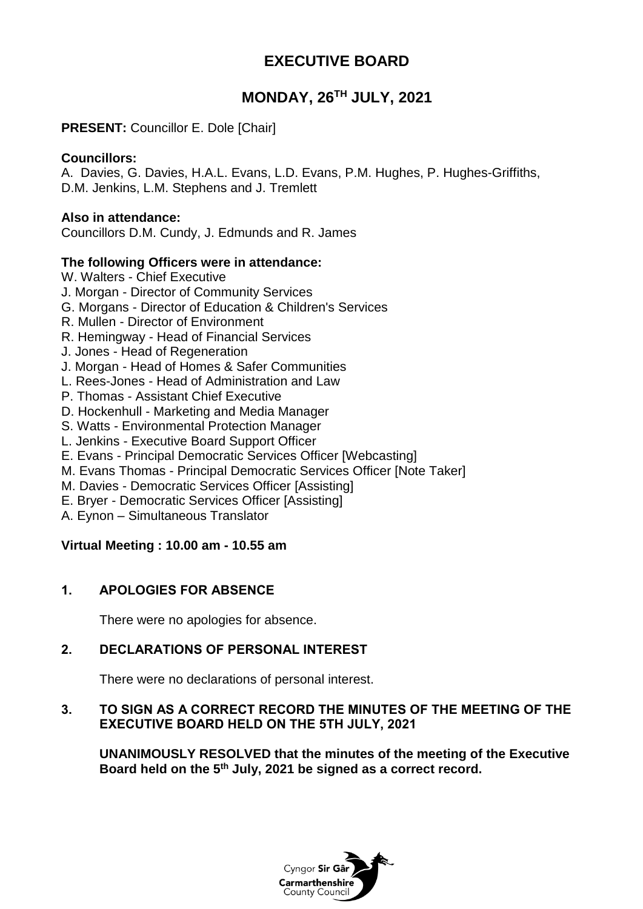# **EXECUTIVE BOARD**

# **MONDAY, 26TH JULY, 2021**

### **PRESENT:** Councillor E. Dole [Chair]

### **Councillors:**

A. Davies, G. Davies, H.A.L. Evans, L.D. Evans, P.M. Hughes, P. Hughes-Griffiths, D.M. Jenkins, L.M. Stephens and J. Tremlett

### **Also in attendance:**

Councillors D.M. Cundy, J. Edmunds and R. James

### **The following Officers were in attendance:**

- W. Walters Chief Executive
- J. Morgan Director of Community Services
- G. Morgans Director of Education & Children's Services
- R. Mullen Director of Environment
- R. Hemingway Head of Financial Services
- J. Jones Head of Regeneration
- J. Morgan Head of Homes & Safer Communities
- L. Rees-Jones Head of Administration and Law
- P. Thomas Assistant Chief Executive
- D. Hockenhull Marketing and Media Manager
- S. Watts Environmental Protection Manager
- L. Jenkins Executive Board Support Officer
- E. Evans Principal Democratic Services Officer [Webcasting]
- M. Evans Thomas Principal Democratic Services Officer [Note Taker]
- M. Davies Democratic Services Officer [Assisting]
- E. Bryer Democratic Services Officer [Assisting]
- A. Eynon Simultaneous Translator

### **Virtual Meeting : 10.00 am - 10.55 am**

### **1. APOLOGIES FOR ABSENCE**

There were no apologies for absence.

### **2. DECLARATIONS OF PERSONAL INTEREST**

There were no declarations of personal interest.

### **3. TO SIGN AS A CORRECT RECORD THE MINUTES OF THE MEETING OF THE EXECUTIVE BOARD HELD ON THE 5TH JULY, 2021**

**UNANIMOUSLY RESOLVED that the minutes of the meeting of the Executive Board held on the 5th July, 2021 be signed as a correct record.**

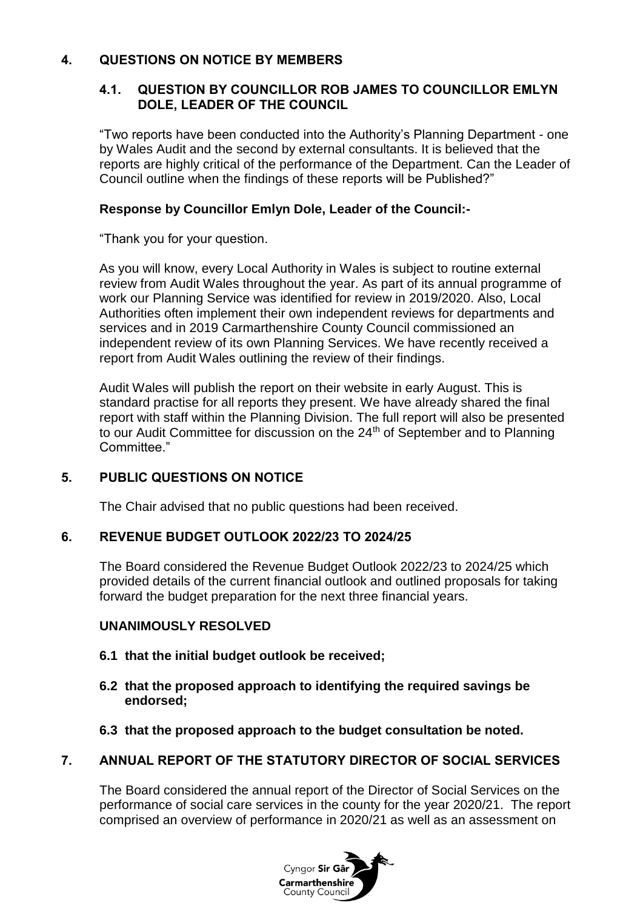## **4. QUESTIONS ON NOTICE BY MEMBERS**

### **4.1. QUESTION BY COUNCILLOR ROB JAMES TO COUNCILLOR EMLYN DOLE, LEADER OF THE COUNCIL**

"Two reports have been conducted into the Authority's Planning Department - one by Wales Audit and the second by external consultants. It is believed that the reports are highly critical of the performance of the Department. Can the Leader of Council outline when the findings of these reports will be Published?"

## **Response by Councillor Emlyn Dole, Leader of the Council:-**

"Thank you for your question.

As you will know, every Local Authority in Wales is subject to routine external review from Audit Wales throughout the year. As part of its annual programme of work our Planning Service was identified for review in 2019/2020. Also, Local Authorities often implement their own independent reviews for departments and services and in 2019 Carmarthenshire County Council commissioned an independent review of its own Planning Services. We have recently received a report from Audit Wales outlining the review of their findings.

Audit Wales will publish the report on their website in early August. This is standard practise for all reports they present. We have already shared the final report with staff within the Planning Division. The full report will also be presented to our Audit Committee for discussion on the 24<sup>th</sup> of September and to Planning Committee."

# **5. PUBLIC QUESTIONS ON NOTICE**

The Chair advised that no public questions had been received.

# **6. REVENUE BUDGET OUTLOOK 2022/23 TO 2024/25**

The Board considered the Revenue Budget Outlook 2022/23 to 2024/25 which provided details of the current financial outlook and outlined proposals for taking forward the budget preparation for the next three financial years.

# **UNANIMOUSLY RESOLVED**

- **6.1 that the initial budget outlook be received;**
- **6.2 that the proposed approach to identifying the required savings be endorsed;**
- **6.3 that the proposed approach to the budget consultation be noted.**

# **7. ANNUAL REPORT OF THE STATUTORY DIRECTOR OF SOCIAL SERVICES**

The Board considered the annual report of the Director of Social Services on the performance of social care services in the county for the year 2020/21. The report comprised an overview of performance in 2020/21 as well as an assessment on

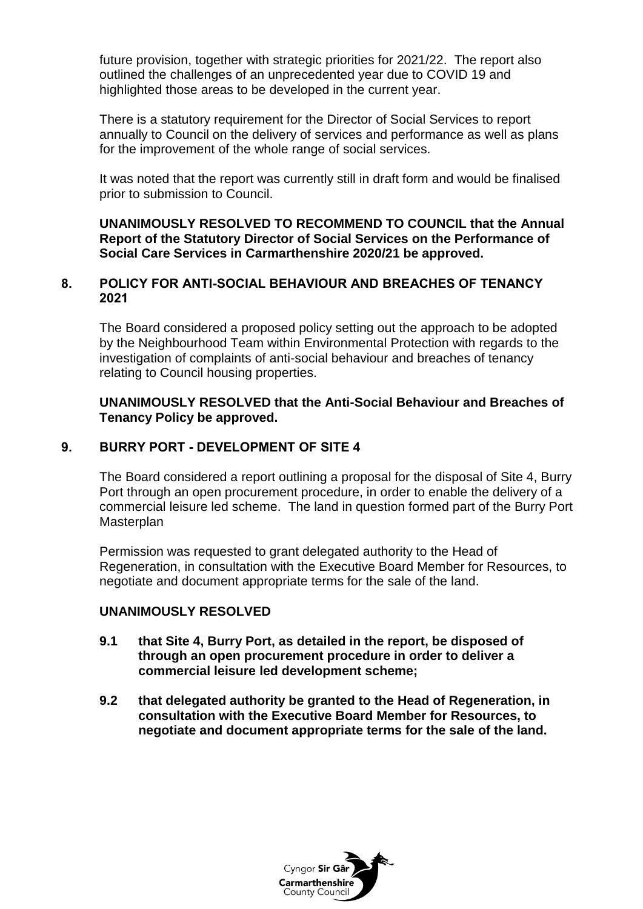future provision, together with strategic priorities for 2021/22. The report also outlined the challenges of an unprecedented year due to COVID 19 and highlighted those areas to be developed in the current year.

There is a statutory requirement for the Director of Social Services to report annually to Council on the delivery of services and performance as well as plans for the improvement of the whole range of social services.

It was noted that the report was currently still in draft form and would be finalised prior to submission to Council.

**UNANIMOUSLY RESOLVED TO RECOMMEND TO COUNCIL that the Annual Report of the Statutory Director of Social Services on the Performance of Social Care Services in Carmarthenshire 2020/21 be approved.**

### **8. POLICY FOR ANTI-SOCIAL BEHAVIOUR AND BREACHES OF TENANCY 2021**

The Board considered a proposed policy setting out the approach to be adopted by the Neighbourhood Team within Environmental Protection with regards to the investigation of complaints of anti-social behaviour and breaches of tenancy relating to Council housing properties.

#### **UNANIMOUSLY RESOLVED that the Anti-Social Behaviour and Breaches of Tenancy Policy be approved.**

### **9. BURRY PORT - DEVELOPMENT OF SITE 4**

The Board considered a report outlining a proposal for the disposal of Site 4, Burry Port through an open procurement procedure, in order to enable the delivery of a commercial leisure led scheme. The land in question formed part of the Burry Port **Masterplan** 

Permission was requested to grant delegated authority to the Head of Regeneration, in consultation with the Executive Board Member for Resources, to negotiate and document appropriate terms for the sale of the land.

### **UNANIMOUSLY RESOLVED**

- **9.1 that Site 4, Burry Port, as detailed in the report, be disposed of through an open procurement procedure in order to deliver a commercial leisure led development scheme;**
- **9.2 that delegated authority be granted to the Head of Regeneration, in consultation with the Executive Board Member for Resources, to negotiate and document appropriate terms for the sale of the land.**